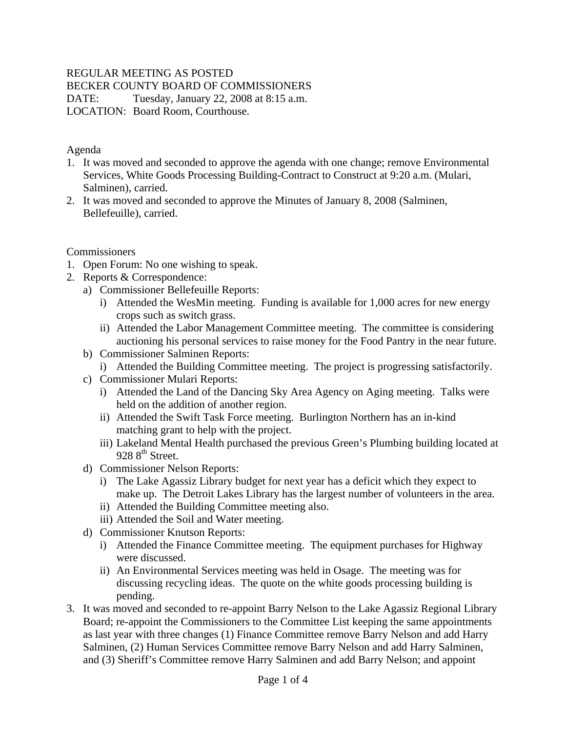#### REGULAR MEETING AS POSTED

BECKER COUNTY BOARD OF COMMISSIONERS

DATE: Tuesday, January 22, 2008 at 8:15 a.m.

LOCATION: Board Room, Courthouse.

#### Agenda

- 1. It was moved and seconded to approve the agenda with one change; remove Environmental Services, White Goods Processing Building-Contract to Construct at 9:20 a.m. (Mulari, Salminen), carried.
- 2. It was moved and seconded to approve the Minutes of January 8, 2008 (Salminen, Bellefeuille), carried.

**Commissioners** 

- 1. Open Forum: No one wishing to speak.
- 2. Reports & Correspondence:
	- a) Commissioner Bellefeuille Reports:
		- i) Attended the WesMin meeting. Funding is available for 1,000 acres for new energy crops such as switch grass.
		- ii) Attended the Labor Management Committee meeting. The committee is considering auctioning his personal services to raise money for the Food Pantry in the near future.
	- b) Commissioner Salminen Reports:
		- i) Attended the Building Committee meeting. The project is progressing satisfactorily.
	- c) Commissioner Mulari Reports:
		- i) Attended the Land of the Dancing Sky Area Agency on Aging meeting. Talks were held on the addition of another region.
		- ii) Attended the Swift Task Force meeting. Burlington Northern has an in-kind matching grant to help with the project.
		- iii) Lakeland Mental Health purchased the previous Green's Plumbing building located at 928 8<sup>th</sup> Street.
	- d) Commissioner Nelson Reports:
		- i) The Lake Agassiz Library budget for next year has a deficit which they expect to make up. The Detroit Lakes Library has the largest number of volunteers in the area.
		- ii) Attended the Building Committee meeting also.
		- iii) Attended the Soil and Water meeting.
	- d) Commissioner Knutson Reports:
		- i) Attended the Finance Committee meeting. The equipment purchases for Highway were discussed.
		- ii) An Environmental Services meeting was held in Osage. The meeting was for discussing recycling ideas. The quote on the white goods processing building is pending.
- 3. It was moved and seconded to re-appoint Barry Nelson to the Lake Agassiz Regional Library Board; re-appoint the Commissioners to the Committee List keeping the same appointments as last year with three changes (1) Finance Committee remove Barry Nelson and add Harry Salminen, (2) Human Services Committee remove Barry Nelson and add Harry Salminen, and (3) Sheriff's Committee remove Harry Salminen and add Barry Nelson; and appoint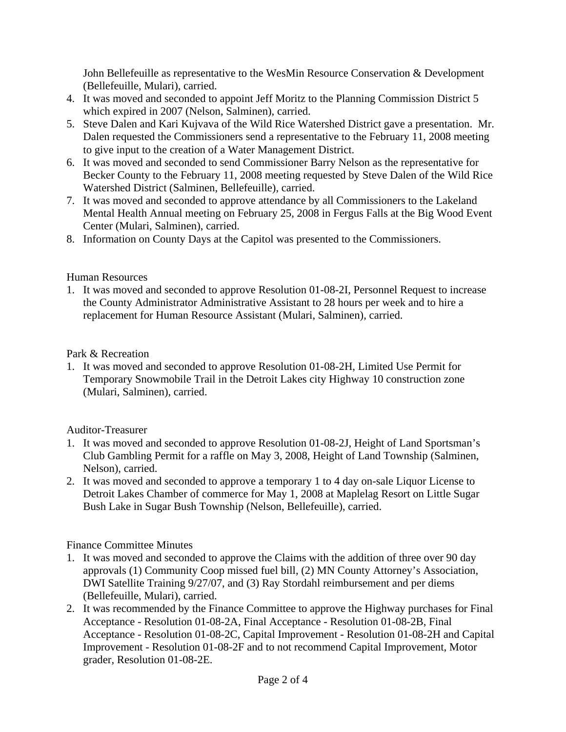John Bellefeuille as representative to the WesMin Resource Conservation & Development (Bellefeuille, Mulari), carried.

- 4. It was moved and seconded to appoint Jeff Moritz to the Planning Commission District 5 which expired in 2007 (Nelson, Salminen), carried.
- 5. Steve Dalen and Kari Kujvava of the Wild Rice Watershed District gave a presentation. Mr. Dalen requested the Commissioners send a representative to the February 11, 2008 meeting to give input to the creation of a Water Management District.
- 6. It was moved and seconded to send Commissioner Barry Nelson as the representative for Becker County to the February 11, 2008 meeting requested by Steve Dalen of the Wild Rice Watershed District (Salminen, Bellefeuille), carried.
- 7. It was moved and seconded to approve attendance by all Commissioners to the Lakeland Mental Health Annual meeting on February 25, 2008 in Fergus Falls at the Big Wood Event Center (Mulari, Salminen), carried.
- 8. Information on County Days at the Capitol was presented to the Commissioners.

#### Human Resources

1. It was moved and seconded to approve Resolution 01-08-2I, Personnel Request to increase the County Administrator Administrative Assistant to 28 hours per week and to hire a replacement for Human Resource Assistant (Mulari, Salminen), carried.

## Park & Recreation

1. It was moved and seconded to approve Resolution 01-08-2H, Limited Use Permit for Temporary Snowmobile Trail in the Detroit Lakes city Highway 10 construction zone (Mulari, Salminen), carried.

## Auditor-Treasurer

- 1. It was moved and seconded to approve Resolution 01-08-2J, Height of Land Sportsman's Club Gambling Permit for a raffle on May 3, 2008, Height of Land Township (Salminen, Nelson), carried.
- 2. It was moved and seconded to approve a temporary 1 to 4 day on-sale Liquor License to Detroit Lakes Chamber of commerce for May 1, 2008 at Maplelag Resort on Little Sugar Bush Lake in Sugar Bush Township (Nelson, Bellefeuille), carried.

# Finance Committee Minutes

- 1. It was moved and seconded to approve the Claims with the addition of three over 90 day approvals (1) Community Coop missed fuel bill, (2) MN County Attorney's Association, DWI Satellite Training 9/27/07, and (3) Ray Stordahl reimbursement and per diems (Bellefeuille, Mulari), carried.
- 2. It was recommended by the Finance Committee to approve the Highway purchases for Final Acceptance - Resolution 01-08-2A, Final Acceptance - Resolution 01-08-2B, Final Acceptance - Resolution 01-08-2C, Capital Improvement - Resolution 01-08-2H and Capital Improvement - Resolution 01-08-2F and to not recommend Capital Improvement, Motor grader, Resolution 01-08-2E.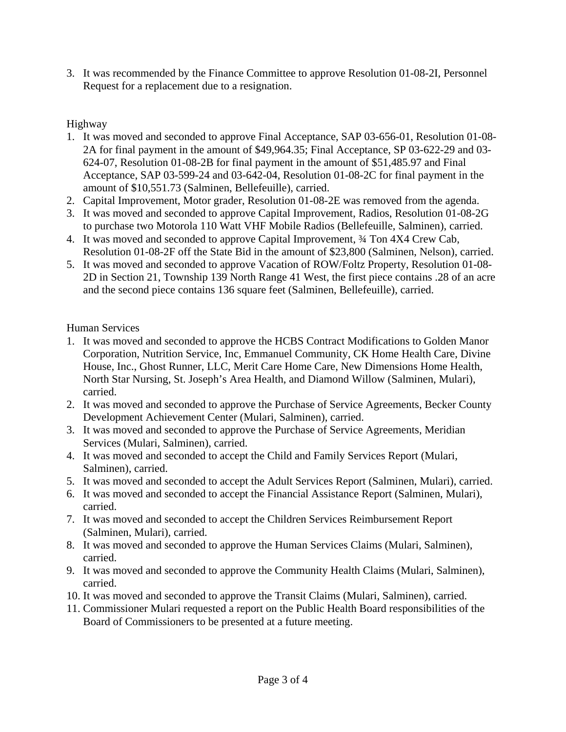3. It was recommended by the Finance Committee to approve Resolution 01-08-2I, Personnel Request for a replacement due to a resignation.

#### Highway

- 1. It was moved and seconded to approve Final Acceptance, SAP 03-656-01, Resolution 01-08- 2A for final payment in the amount of \$49,964.35; Final Acceptance, SP 03-622-29 and 03- 624-07, Resolution 01-08-2B for final payment in the amount of \$51,485.97 and Final Acceptance, SAP 03-599-24 and 03-642-04, Resolution 01-08-2C for final payment in the amount of \$10,551.73 (Salminen, Bellefeuille), carried.
- 2. Capital Improvement, Motor grader, Resolution 01-08-2E was removed from the agenda.
- 3. It was moved and seconded to approve Capital Improvement, Radios, Resolution 01-08-2G to purchase two Motorola 110 Watt VHF Mobile Radios (Bellefeuille, Salminen), carried.
- 4. It was moved and seconded to approve Capital Improvement, ¾ Ton 4X4 Crew Cab, Resolution 01-08-2F off the State Bid in the amount of \$23,800 (Salminen, Nelson), carried.
- 5. It was moved and seconded to approve Vacation of ROW/Foltz Property, Resolution 01-08- 2D in Section 21, Township 139 North Range 41 West, the first piece contains .28 of an acre and the second piece contains 136 square feet (Salminen, Bellefeuille), carried.

Human Services

- 1. It was moved and seconded to approve the HCBS Contract Modifications to Golden Manor Corporation, Nutrition Service, Inc, Emmanuel Community, CK Home Health Care, Divine House, Inc., Ghost Runner, LLC, Merit Care Home Care, New Dimensions Home Health, North Star Nursing, St. Joseph's Area Health, and Diamond Willow (Salminen, Mulari), carried.
- 2. It was moved and seconded to approve the Purchase of Service Agreements, Becker County Development Achievement Center (Mulari, Salminen), carried.
- 3. It was moved and seconded to approve the Purchase of Service Agreements, Meridian Services (Mulari, Salminen), carried.
- 4. It was moved and seconded to accept the Child and Family Services Report (Mulari, Salminen), carried.
- 5. It was moved and seconded to accept the Adult Services Report (Salminen, Mulari), carried.
- 6. It was moved and seconded to accept the Financial Assistance Report (Salminen, Mulari), carried.
- 7. It was moved and seconded to accept the Children Services Reimbursement Report (Salminen, Mulari), carried.
- 8. It was moved and seconded to approve the Human Services Claims (Mulari, Salminen), carried.
- 9. It was moved and seconded to approve the Community Health Claims (Mulari, Salminen), carried.
- 10. It was moved and seconded to approve the Transit Claims (Mulari, Salminen), carried.
- 11. Commissioner Mulari requested a report on the Public Health Board responsibilities of the Board of Commissioners to be presented at a future meeting.